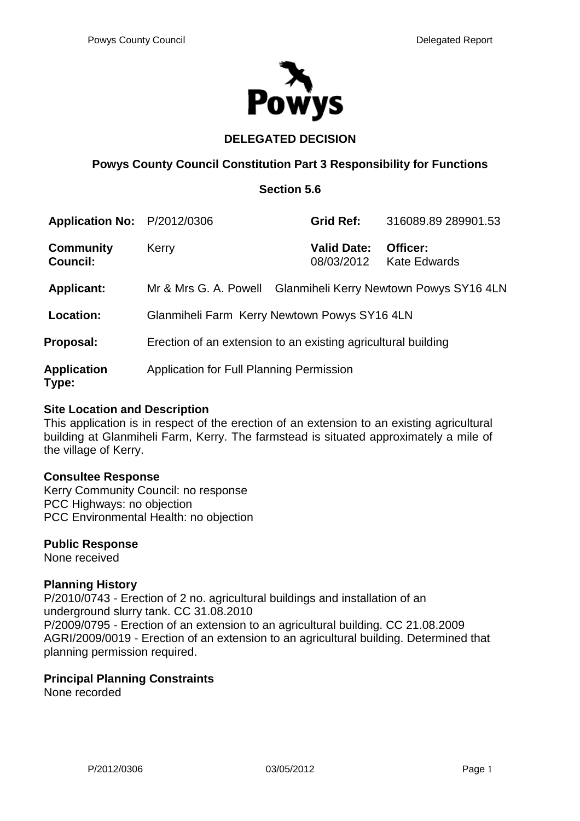

# **DELEGATED DECISION**

# **Powys County Council Constitution Part 3 Responsibility for Functions**

## **Section 5.6**

| Application No: P/2012/0306         |                                                               | <b>Grid Ref:</b>                        | 316089.89 289901.53             |
|-------------------------------------|---------------------------------------------------------------|-----------------------------------------|---------------------------------|
| <b>Community</b><br><b>Council:</b> | Kerry                                                         | <b>Valid Date:</b><br>08/03/2012        | Officer:<br><b>Kate Edwards</b> |
| <b>Applicant:</b>                   | Mr & Mrs G. A. Powell                                         | Glanmiheli Kerry Newtown Powys SY16 4LN |                                 |
| Location:                           | Glanmiheli Farm Kerry Newtown Powys SY16 4LN                  |                                         |                                 |
| Proposal:                           | Erection of an extension to an existing agricultural building |                                         |                                 |
| <b>Application</b><br>Type:         | Application for Full Planning Permission                      |                                         |                                 |

### **Site Location and Description**

This application is in respect of the erection of an extension to an existing agricultural building at Glanmiheli Farm, Kerry. The farmstead is situated approximately a mile of the village of Kerry.

#### **Consultee Response**

Kerry Community Council: no response PCC Highways: no objection PCC Environmental Health: no objection

#### **Public Response**

None received

## **Planning History**

P/2010/0743 - Erection of 2 no. agricultural buildings and installation of an underground slurry tank. CC 31.08.2010 P/2009/0795 - Erection of an extension to an agricultural building. CC 21.08.2009 AGRI/2009/0019 - Erection of an extension to an agricultural building. Determined that planning permission required.

## **Principal Planning Constraints**

None recorded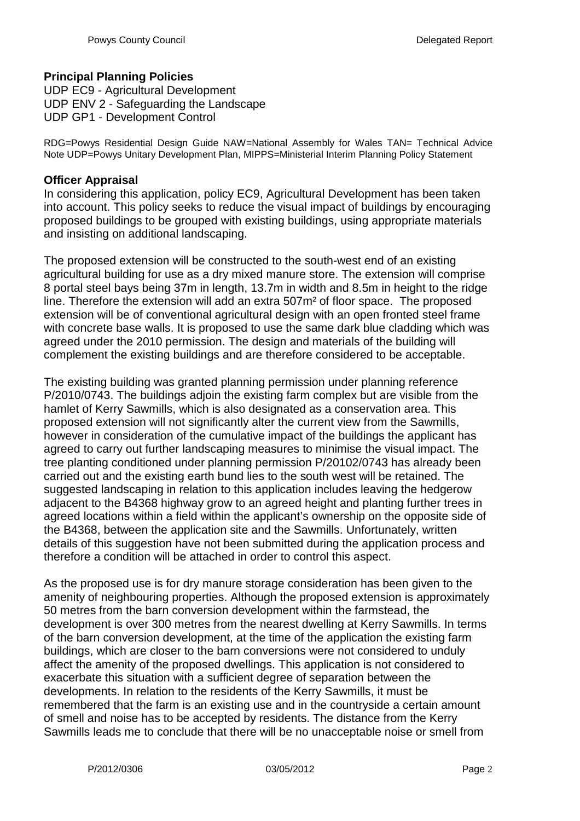# **Principal Planning Policies**

UDP EC9 - Agricultural Development UDP ENV 2 - Safeguarding the Landscape UDP GP1 - Development Control

RDG=Powys Residential Design Guide NAW=National Assembly for Wales TAN= Technical Advice Note UDP=Powys Unitary Development Plan, MIPPS=Ministerial Interim Planning Policy Statement

### **Officer Appraisal**

In considering this application, policy EC9, Agricultural Development has been taken into account. This policy seeks to reduce the visual impact of buildings by encouraging proposed buildings to be grouped with existing buildings, using appropriate materials and insisting on additional landscaping.

The proposed extension will be constructed to the south-west end of an existing agricultural building for use as a dry mixed manure store. The extension will comprise 8 portal steel bays being 37m in length, 13.7m in width and 8.5m in height to the ridge line. Therefore the extension will add an extra 507m² of floor space. The proposed extension will be of conventional agricultural design with an open fronted steel frame with concrete base walls. It is proposed to use the same dark blue cladding which was agreed under the 2010 permission. The design and materials of the building will complement the existing buildings and are therefore considered to be acceptable.

The existing building was granted planning permission under planning reference P/2010/0743. The buildings adjoin the existing farm complex but are visible from the hamlet of Kerry Sawmills, which is also designated as a conservation area. This proposed extension will not significantly alter the current view from the Sawmills, however in consideration of the cumulative impact of the buildings the applicant has agreed to carry out further landscaping measures to minimise the visual impact. The tree planting conditioned under planning permission P/20102/0743 has already been carried out and the existing earth bund lies to the south west will be retained. The suggested landscaping in relation to this application includes leaving the hedgerow adjacent to the B4368 highway grow to an agreed height and planting further trees in agreed locations within a field within the applicant's ownership on the opposite side of the B4368, between the application site and the Sawmills. Unfortunately, written details of this suggestion have not been submitted during the application process and therefore a condition will be attached in order to control this aspect.

As the proposed use is for dry manure storage consideration has been given to the amenity of neighbouring properties. Although the proposed extension is approximately 50 metres from the barn conversion development within the farmstead, the development is over 300 metres from the nearest dwelling at Kerry Sawmills. In terms of the barn conversion development, at the time of the application the existing farm buildings, which are closer to the barn conversions were not considered to unduly affect the amenity of the proposed dwellings. This application is not considered to exacerbate this situation with a sufficient degree of separation between the developments. In relation to the residents of the Kerry Sawmills, it must be remembered that the farm is an existing use and in the countryside a certain amount of smell and noise has to be accepted by residents. The distance from the Kerry Sawmills leads me to conclude that there will be no unacceptable noise or smell from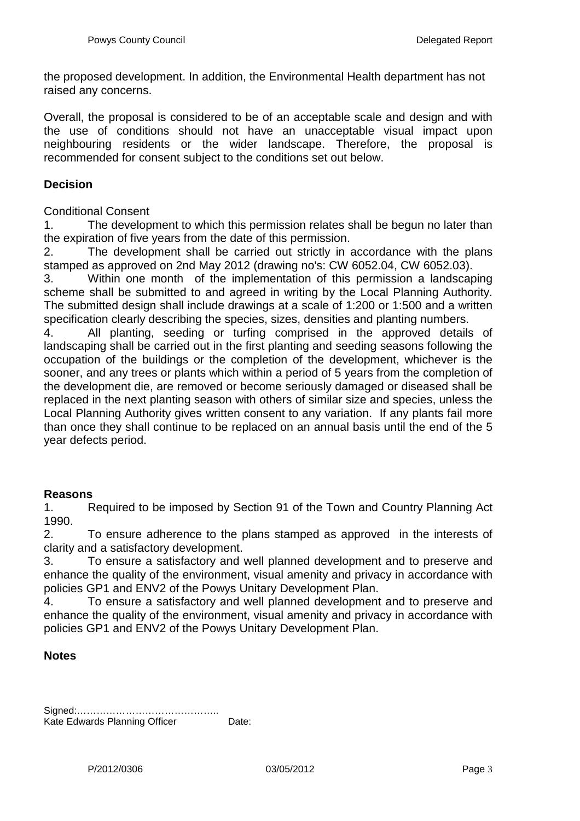the proposed development. In addition, the Environmental Health department has not raised any concerns.

Overall, the proposal is considered to be of an acceptable scale and design and with the use of conditions should not have an unacceptable visual impact upon neighbouring residents or the wider landscape. Therefore, the proposal is recommended for consent subject to the conditions set out below.

### **Decision**

#### Conditional Consent

1. The development to which this permission relates shall be begun no later than the expiration of five years from the date of this permission.

2. The development shall be carried out strictly in accordance with the plans stamped as approved on 2nd May 2012 (drawing no's: CW 6052.04, CW 6052.03).

3. Within one month of the implementation of this permission a landscaping scheme shall be submitted to and agreed in writing by the Local Planning Authority. The submitted design shall include drawings at a scale of 1:200 or 1:500 and a written specification clearly describing the species, sizes, densities and planting numbers.

4. All planting, seeding or turfing comprised in the approved details of landscaping shall be carried out in the first planting and seeding seasons following the occupation of the buildings or the completion of the development, whichever is the sooner, and any trees or plants which within a period of 5 years from the completion of the development die, are removed or become seriously damaged or diseased shall be replaced in the next planting season with others of similar size and species, unless the Local Planning Authority gives written consent to any variation. If any plants fail more than once they shall continue to be replaced on an annual basis until the end of the 5 year defects period.

## **Reasons**

1. Required to be imposed by Section 91 of the Town and Country Planning Act 1990.

2. To ensure adherence to the plans stamped as approved in the interests of clarity and a satisfactory development.

3. To ensure a satisfactory and well planned development and to preserve and enhance the quality of the environment, visual amenity and privacy in accordance with policies GP1 and ENV2 of the Powys Unitary Development Plan.

4. To ensure a satisfactory and well planned development and to preserve and enhance the quality of the environment, visual amenity and privacy in accordance with policies GP1 and ENV2 of the Powys Unitary Development Plan.

#### **Notes**

| Kate Edwards Planning Officer | Date: |
|-------------------------------|-------|